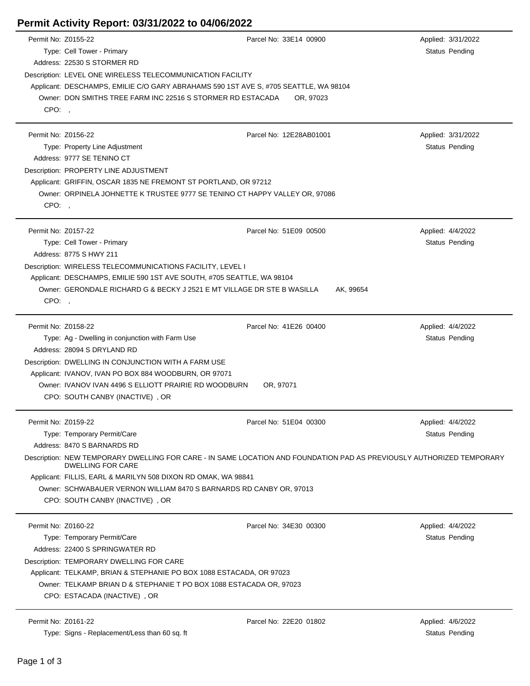## **Permit Activity Report: 03/31/2022 to 04/06/2022**

| Permit No: Z0155-22 |                                                                                                                                             | Parcel No: 33E14 00900                                                                                                | Applied: 3/31/2022 |  |  |  |
|---------------------|---------------------------------------------------------------------------------------------------------------------------------------------|-----------------------------------------------------------------------------------------------------------------------|--------------------|--|--|--|
|                     | Type: Cell Tower - Primary                                                                                                                  |                                                                                                                       | Status Pending     |  |  |  |
|                     | Address: 22530 S STORMER RD                                                                                                                 |                                                                                                                       |                    |  |  |  |
|                     | Description: LEVEL ONE WIRELESS TELECOMMUNICATION FACILITY                                                                                  |                                                                                                                       |                    |  |  |  |
|                     | Applicant: DESCHAMPS, EMILIE C/O GARY ABRAHAMS 590 1ST AVE S, #705 SEATTLE, WA 98104                                                        |                                                                                                                       |                    |  |  |  |
|                     | Owner: DON SMITHS TREE FARM INC 22516 S STORMER RD ESTACADA                                                                                 | OR, 97023                                                                                                             |                    |  |  |  |
| CPO:,               |                                                                                                                                             |                                                                                                                       |                    |  |  |  |
|                     |                                                                                                                                             |                                                                                                                       |                    |  |  |  |
| Permit No: Z0156-22 |                                                                                                                                             | Parcel No: 12E28AB01001                                                                                               | Applied: 3/31/2022 |  |  |  |
|                     | Type: Property Line Adjustment                                                                                                              |                                                                                                                       | Status Pending     |  |  |  |
|                     | Address: 9777 SE TENINO CT                                                                                                                  |                                                                                                                       |                    |  |  |  |
|                     | Description: PROPERTY LINE ADJUSTMENT                                                                                                       |                                                                                                                       |                    |  |  |  |
|                     | Applicant: GRIFFIN, OSCAR 1835 NE FREMONT ST PORTLAND, OR 97212                                                                             |                                                                                                                       |                    |  |  |  |
|                     | Owner: ORPINELA JOHNETTE K TRUSTEE 9777 SE TENINO CT HAPPY VALLEY OR, 97086                                                                 |                                                                                                                       |                    |  |  |  |
| CPO:,               |                                                                                                                                             |                                                                                                                       |                    |  |  |  |
|                     |                                                                                                                                             |                                                                                                                       |                    |  |  |  |
| Permit No: Z0157-22 |                                                                                                                                             | Parcel No: 51E09 00500                                                                                                | Applied: 4/4/2022  |  |  |  |
|                     | Type: Cell Tower - Primary                                                                                                                  |                                                                                                                       | Status Pending     |  |  |  |
|                     | Address: 8775 S HWY 211                                                                                                                     |                                                                                                                       |                    |  |  |  |
|                     | Description: WIRELESS TELECOMMUNICATIONS FACILITY, LEVEL I                                                                                  |                                                                                                                       |                    |  |  |  |
|                     | Applicant: DESCHAMPS, EMILIE 590 1ST AVE SOUTH, #705 SEATTLE, WA 98104                                                                      |                                                                                                                       |                    |  |  |  |
|                     | Owner: GERONDALE RICHARD G & BECKY J 2521 E MT VILLAGE DR STE B WASILLA<br>AK, 99654                                                        |                                                                                                                       |                    |  |  |  |
| CPO:                |                                                                                                                                             |                                                                                                                       |                    |  |  |  |
|                     |                                                                                                                                             |                                                                                                                       |                    |  |  |  |
| Permit No: Z0158-22 |                                                                                                                                             | Parcel No: 41E26 00400                                                                                                | Applied: 4/4/2022  |  |  |  |
|                     | Type: Ag - Dwelling in conjunction with Farm Use                                                                                            |                                                                                                                       | Status Pending     |  |  |  |
|                     | Address: 28094 S DRYLAND RD                                                                                                                 |                                                                                                                       |                    |  |  |  |
|                     | Description: DWELLING IN CONJUNCTION WITH A FARM USE                                                                                        |                                                                                                                       |                    |  |  |  |
|                     | Applicant: IVANOV, IVAN PO BOX 884 WOODBURN, OR 97071                                                                                       |                                                                                                                       |                    |  |  |  |
|                     | Owner: IVANOV IVAN 4496 S ELLIOTT PRAIRIE RD WOODBURN                                                                                       | OR, 97071                                                                                                             |                    |  |  |  |
|                     | CPO: SOUTH CANBY (INACTIVE), OR                                                                                                             |                                                                                                                       |                    |  |  |  |
|                     |                                                                                                                                             |                                                                                                                       |                    |  |  |  |
| Permit No: Z0159-22 |                                                                                                                                             | Parcel No: 51E04 00300                                                                                                | Applied: 4/4/2022  |  |  |  |
|                     | Type: Temporary Permit/Care                                                                                                                 |                                                                                                                       | Status Pending     |  |  |  |
|                     | Address: 8470 S BARNARDS RD                                                                                                                 |                                                                                                                       |                    |  |  |  |
|                     |                                                                                                                                             | Description: NEW TEMPORARY DWELLING FOR CARE - IN SAME LOCATION AND FOUNDATION PAD AS PREVIOUSLY AUTHORIZED TEMPORARY |                    |  |  |  |
|                     | <b>DWELLING FOR CARE</b>                                                                                                                    |                                                                                                                       |                    |  |  |  |
|                     | Applicant: FILLIS, EARL & MARILYN 508 DIXON RD OMAK, WA 98841                                                                               |                                                                                                                       |                    |  |  |  |
|                     | Owner: SCHWABAUER VERNON WILLIAM 8470 S BARNARDS RD CANBY OR, 97013                                                                         |                                                                                                                       |                    |  |  |  |
|                     | CPO: SOUTH CANBY (INACTIVE), OR                                                                                                             |                                                                                                                       |                    |  |  |  |
|                     |                                                                                                                                             |                                                                                                                       |                    |  |  |  |
| Permit No: Z0160-22 |                                                                                                                                             | Parcel No: 34E30 00300                                                                                                | Applied: 4/4/2022  |  |  |  |
|                     | Type: Temporary Permit/Care                                                                                                                 |                                                                                                                       | Status Pending     |  |  |  |
|                     | Address: 22400 S SPRINGWATER RD                                                                                                             |                                                                                                                       |                    |  |  |  |
|                     | Description: TEMPORARY DWELLING FOR CARE                                                                                                    |                                                                                                                       |                    |  |  |  |
|                     | Applicant: TELKAMP, BRIAN & STEPHANIE PO BOX 1088 ESTACADA, OR 97023<br>Owner: TELKAMP BRIAN D & STEPHANIE T PO BOX 1088 ESTACADA OR, 97023 |                                                                                                                       |                    |  |  |  |
|                     |                                                                                                                                             |                                                                                                                       |                    |  |  |  |
|                     | CPO: ESTACADA (INACTIVE), OR                                                                                                                |                                                                                                                       |                    |  |  |  |
|                     |                                                                                                                                             |                                                                                                                       |                    |  |  |  |
| Permit No: Z0161-22 |                                                                                                                                             | Parcel No: 22E20 01802                                                                                                | Applied: 4/6/2022  |  |  |  |

Type: Signs - Replacement/Less than 60 sq. ft Status Pending Status Pending Status Pending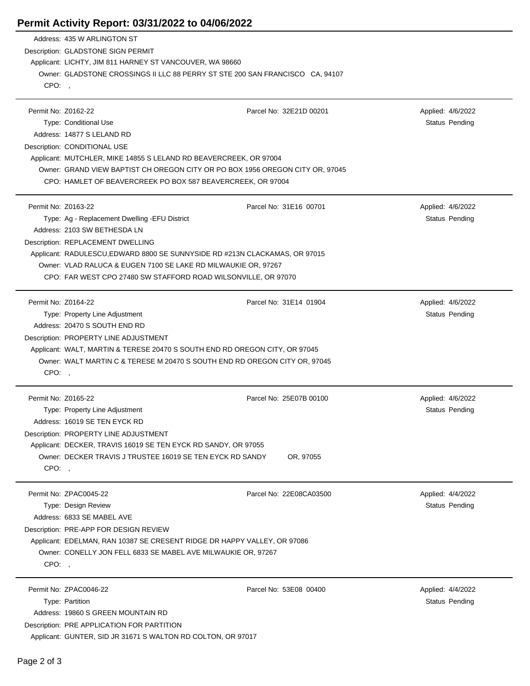## **Permit Activity Report: 03/31/2022 to 04/06/2022**

|                     | Address: 435 W ARLINGTON ST                                                                                          |                         |                       |  |  |  |
|---------------------|----------------------------------------------------------------------------------------------------------------------|-------------------------|-----------------------|--|--|--|
|                     | Description: GLADSTONE SIGN PERMIT                                                                                   |                         |                       |  |  |  |
|                     | Applicant: LICHTY, JIM 811 HARNEY ST VANCOUVER, WA 98660                                                             |                         |                       |  |  |  |
|                     | Owner: GLADSTONE CROSSINGS II LLC 88 PERRY ST STE 200 SAN FRANCISCO CA, 94107                                        |                         |                       |  |  |  |
| CPO:,               |                                                                                                                      |                         |                       |  |  |  |
|                     |                                                                                                                      |                         |                       |  |  |  |
| Permit No: Z0162-22 |                                                                                                                      | Parcel No: 32E21D 00201 | Applied: 4/6/2022     |  |  |  |
|                     | Type: Conditional Use                                                                                                |                         | <b>Status Pending</b> |  |  |  |
|                     | Address: 14877 S LELAND RD                                                                                           |                         |                       |  |  |  |
|                     | Description: CONDITIONAL USE                                                                                         |                         |                       |  |  |  |
|                     | Applicant: MUTCHLER, MIKE 14855 S LELAND RD BEAVERCREEK, OR 97004                                                    |                         |                       |  |  |  |
|                     | Owner: GRAND VIEW BAPTIST CH OREGON CITY OR PO BOX 1956 OREGON CITY OR, 97045                                        |                         |                       |  |  |  |
|                     | CPO: HAMLET OF BEAVERCREEK PO BOX 587 BEAVERCREEK, OR 97004                                                          |                         |                       |  |  |  |
|                     |                                                                                                                      |                         |                       |  |  |  |
| Permit No: Z0163-22 |                                                                                                                      | Parcel No: 31E16 00701  | Applied: 4/6/2022     |  |  |  |
|                     | Type: Ag - Replacement Dwelling - EFU District                                                                       |                         | Status Pending        |  |  |  |
|                     | Address: 2103 SW BETHESDA LN                                                                                         |                         |                       |  |  |  |
|                     | Description: REPLACEMENT DWELLING                                                                                    |                         |                       |  |  |  |
|                     | Applicant: RADULESCU, EDWARD 8800 SE SUNNYSIDE RD #213N CLACKAMAS, OR 97015                                          |                         |                       |  |  |  |
|                     | Owner: VLAD RALUCA & EUGEN 7100 SE LAKE RD MILWAUKIE OR, 97267                                                       |                         |                       |  |  |  |
|                     | CPO: FAR WEST CPO 27480 SW STAFFORD ROAD WILSONVILLE, OR 97070                                                       |                         |                       |  |  |  |
|                     |                                                                                                                      |                         |                       |  |  |  |
| Permit No: Z0164-22 |                                                                                                                      | Parcel No: 31E14 01904  | Applied: 4/6/2022     |  |  |  |
|                     | Type: Property Line Adjustment<br>Address: 20470 S SOUTH END RD                                                      |                         | <b>Status Pending</b> |  |  |  |
|                     |                                                                                                                      |                         |                       |  |  |  |
|                     | Description: PROPERTY LINE ADJUSTMENT<br>Applicant: WALT, MARTIN & TERESE 20470 S SOUTH END RD OREGON CITY, OR 97045 |                         |                       |  |  |  |
|                     | Owner: WALT MARTIN C & TERESE M 20470 S SOUTH END RD OREGON CITY OR, 97045                                           |                         |                       |  |  |  |
| CPO:,               |                                                                                                                      |                         |                       |  |  |  |
|                     |                                                                                                                      |                         |                       |  |  |  |
| Permit No: Z0165-22 |                                                                                                                      | Parcel No: 25E07B 00100 | Applied: 4/6/2022     |  |  |  |
|                     | Type: Property Line Adjustment                                                                                       |                         | Status Pending        |  |  |  |
|                     | Address: 16019 SE TEN EYCK RD                                                                                        |                         |                       |  |  |  |
|                     | Description: PROPERTY LINE ADJUSTMENT                                                                                |                         |                       |  |  |  |
|                     | Applicant: DECKER, TRAVIS 16019 SE TEN EYCK RD SANDY, OR 97055                                                       |                         |                       |  |  |  |
|                     | Owner: DECKER TRAVIS J TRUSTEE 16019 SE TEN EYCK RD SANDY                                                            | OR, 97055               |                       |  |  |  |
| CPO:                |                                                                                                                      |                         |                       |  |  |  |
|                     |                                                                                                                      |                         |                       |  |  |  |
|                     | Permit No: ZPAC0045-22                                                                                               | Parcel No: 22E08CA03500 | Applied: 4/4/2022     |  |  |  |
|                     | Type: Design Review                                                                                                  |                         | Status Pending        |  |  |  |
|                     | Address: 6833 SE MABEL AVE                                                                                           |                         |                       |  |  |  |
|                     | Description: PRE-APP FOR DESIGN REVIEW                                                                               |                         |                       |  |  |  |
|                     | Applicant: EDELMAN, RAN 10387 SE CRESENT RIDGE DR HAPPY VALLEY, OR 97086                                             |                         |                       |  |  |  |
|                     | Owner: CONELLY JON FELL 6833 SE MABEL AVE MILWAUKIE OR, 97267                                                        |                         |                       |  |  |  |
| CPO:                |                                                                                                                      |                         |                       |  |  |  |
|                     |                                                                                                                      |                         |                       |  |  |  |
|                     | Permit No: ZPAC0046-22                                                                                               | Parcel No: 53E08 00400  | Applied: 4/4/2022     |  |  |  |
|                     | Type: Partition                                                                                                      |                         | <b>Status Pending</b> |  |  |  |
|                     | Address: 19860 S GREEN MOUNTAIN RD                                                                                   |                         |                       |  |  |  |
|                     | Description: PRE APPLICATION FOR PARTITION                                                                           |                         |                       |  |  |  |
|                     | Applicant: GUNTER, SID JR 31671 S WALTON RD COLTON, OR 97017                                                         |                         |                       |  |  |  |

÷.

 $\overline{a}$ 

 $\overline{a}$